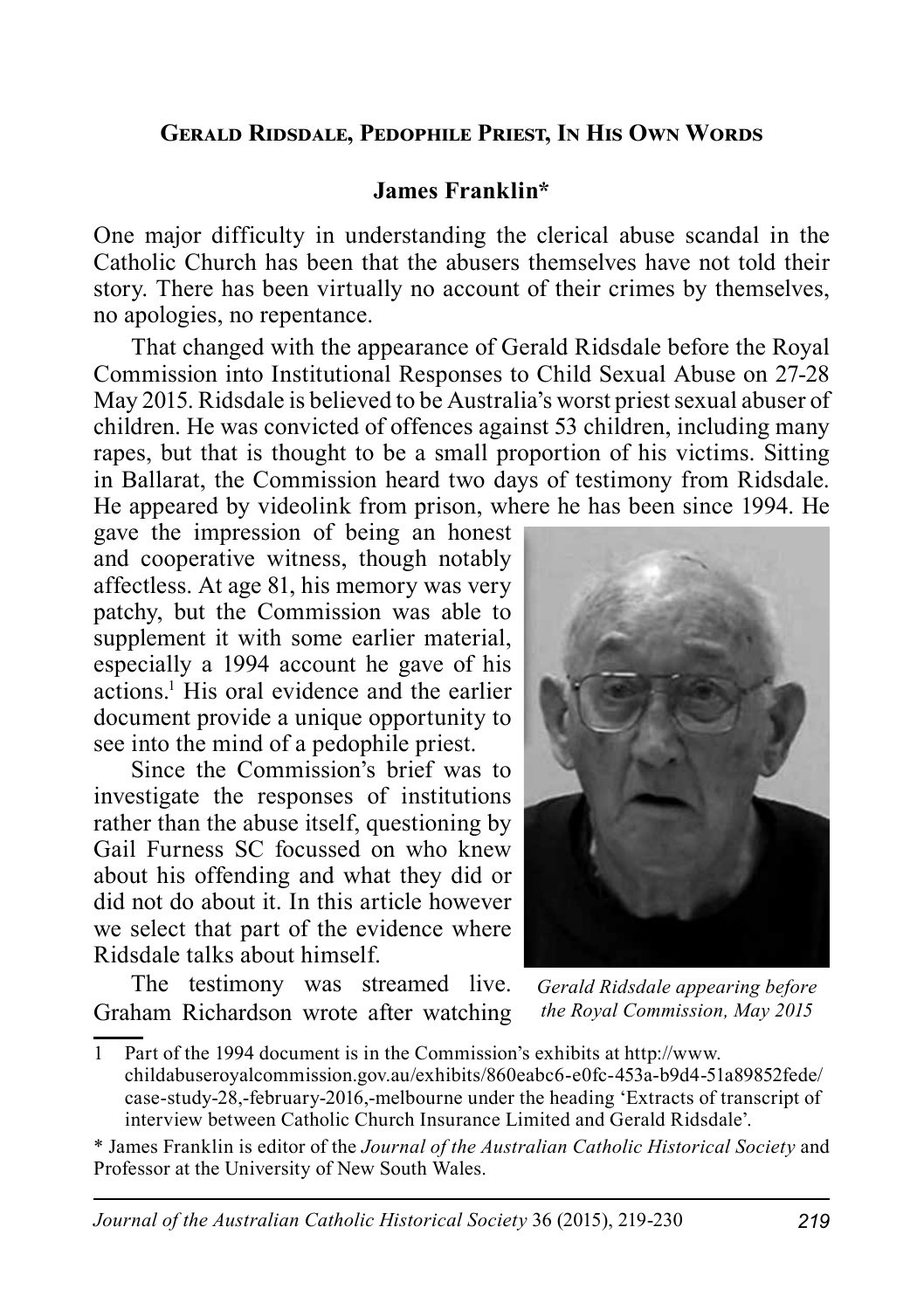#### **Gerald Ridsdale, Pedophile Priest, In His Own Words**

#### **James Franklin\***

One major difficulty in understanding the clerical abuse scandal in the Catholic Church has been that the abusers themselves have not told their story. There has been virtually no account of their crimes by themselves, no apologies, no repentance.

That changed with the appearance of Gerald Ridsdale before the Royal Commission into Institutional Responses to Child Sexual Abuse on 27-28 May 2015. Ridsdale is believed to be Australia's worst priest sexual abuser of children. He was convicted of offences against 53 children, including many rapes, but that is thought to be a small proportion of his victims. Sitting in Ballarat, the Commission heard two days of testimony from Ridsdale. He appeared by videolink from prison, where he has been since 1994. He

gave the impression of being an honest and cooperative witness, though notably affectless. At age 81, his memory was very patchy, but the Commission was able to supplement it with some earlier material, especially a 1994 account he gave of his actions.1 His oral evidence and the earlier document provide a unique opportunity to see into the mind of a pedophile priest.

Since the Commission's brief was to investigate the responses of institutions rather than the abuse itself, questioning by Gail Furness SC focussed on who knew about his offending and what they did or did not do about it. In this article however we select that part of the evidence where Ridsdale talks about himself.

The testimony was streamed live. Graham Richardson wrote after watching



*Gerald Ridsdale appearing before the Royal Commission, May 2015*

1 Part of the 1994 document is in the Commission's exhibits at http://www. childabuseroyalcommission.gov.au/exhibits/860eabc6-e0fc-453a-b9d4-51a89852fede/ case-study-28,-february-2016,-melbourne under the heading 'Extracts of transcript of interview between Catholic Church Insurance Limited and Gerald Ridsdale'.

\* James Franklin is editor of the *Journal of the Australian Catholic Historical Society* and Professor at the University of New South Wales.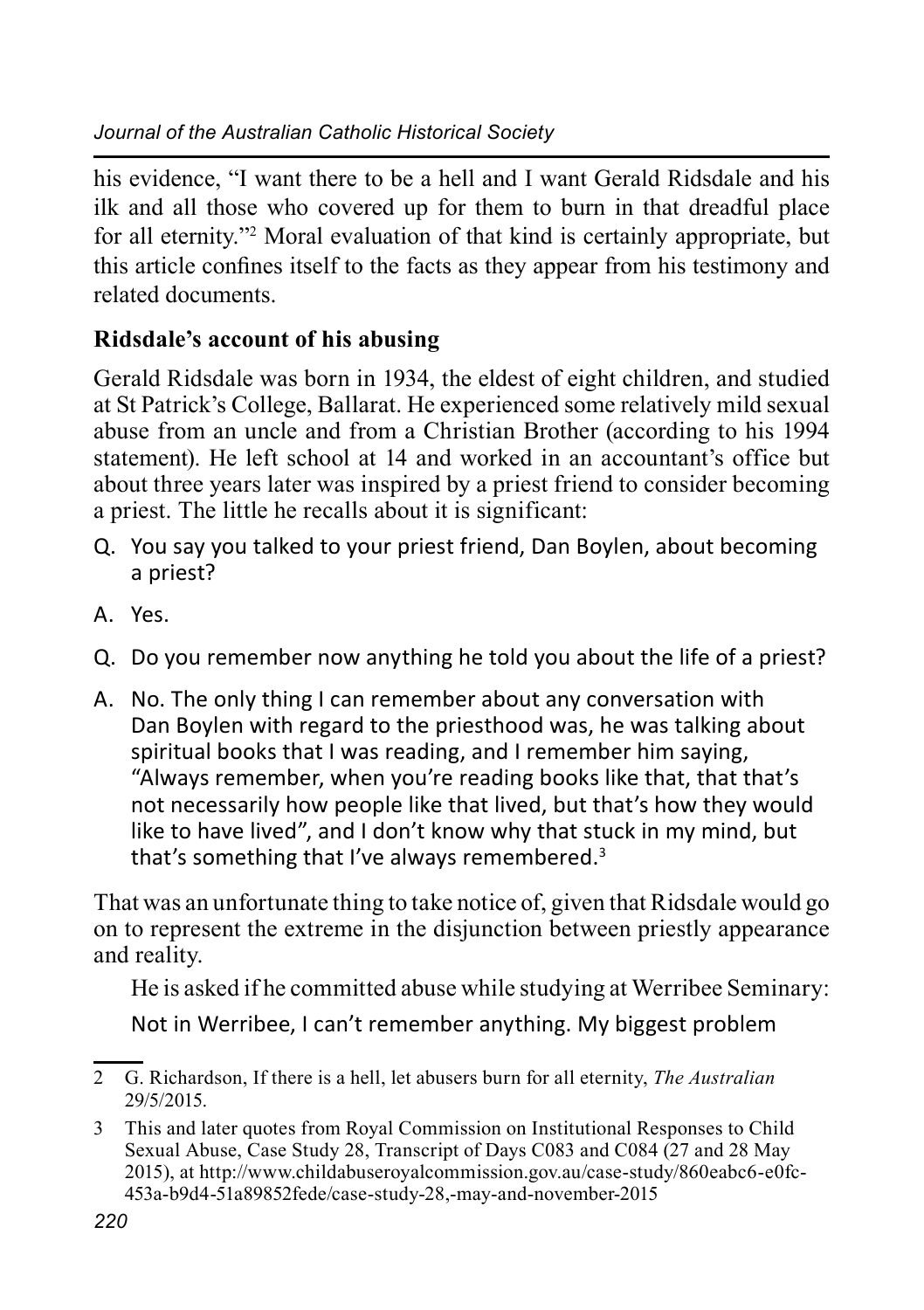his evidence, "I want there to be a hell and I want Gerald Ridsdale and his ilk and all those who covered up for them to burn in that dreadful place for all eternity."2 Moral evaluation of that kind is certainly appropriate, but this article confines itself to the facts as they appear from his testimony and related documents.

# **Ridsdale's account of his abusing**

Gerald Ridsdale was born in 1934, the eldest of eight children, and studied at St Patrick's College, Ballarat. He experienced some relatively mild sexual abuse from an uncle and from a Christian Brother (according to his 1994 statement). He left school at 14 and worked in an accountant's office but about three years later was inspired by a priest friend to consider becoming a priest. The little he recalls about it is significant:

- Q. You say you talked to your priest friend, Dan Boylen, about becoming a priest?
- A. Yes.
- Q. Do you remember now anything he told you about the life of a priest?
- A. No. The only thing I can remember about any conversation with Dan Boylen with regard to the priesthood was, he was talking about spiritual books that I was reading, and I remember him saying, "Always remember, when you're reading books like that, that that's not necessarily how people like that lived, but that's how they would like to have lived", and I don't know why that stuck in my mind, but that's something that I've always remembered.3

That was an unfortunate thing to take notice of, given that Ridsdale would go on to represent the extreme in the disjunction between priestly appearance and reality.

He is asked if he committed abuse while studying at Werribee Seminary: Not in Werribee, I can't remember anything. My biggest problem

<sup>2</sup> G. Richardson, If there is a hell, let abusers burn for all eternity, *The Australian* 29/5/2015.

<sup>3</sup> This and later quotes from Royal Commission on Institutional Responses to Child Sexual Abuse, Case Study 28, Transcript of Days C083 and C084 (27 and 28 May 2015), at http://www.childabuseroyalcommission.gov.au/case-study/860eabc6-e0fc-453a-b9d4-51a89852fede/case-study-28,-may-and-november-2015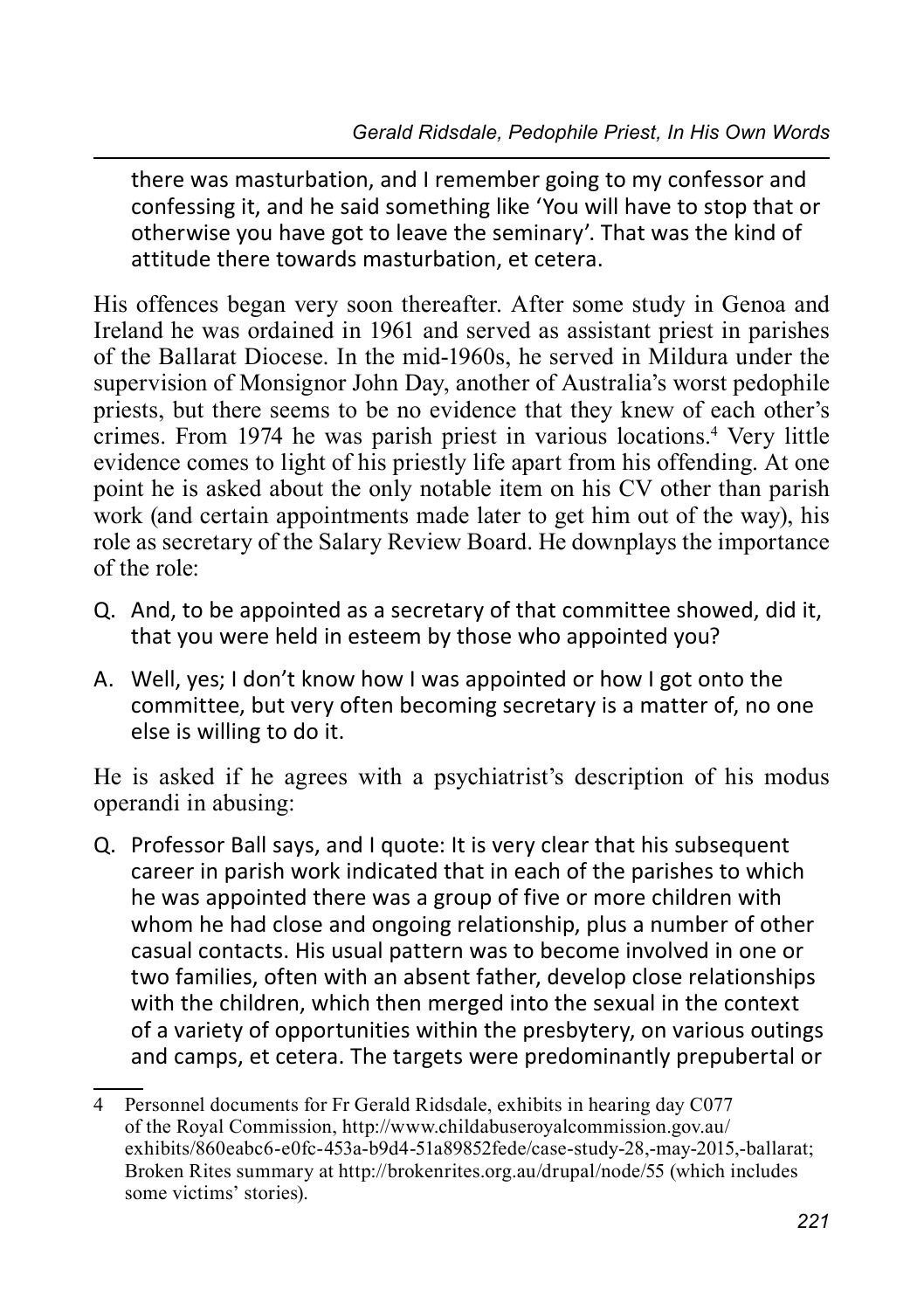there was masturbation, and I remember going to my confessor and confessing it, and he said something like 'You will have to stop that or otherwise you have got to leave the seminary'. That was the kind of attitude there towards masturbation, et cetera.

His offences began very soon thereafter. After some study in Genoa and Ireland he was ordained in 1961 and served as assistant priest in parishes of the Ballarat Diocese. In the mid-1960s, he served in Mildura under the supervision of Monsignor John Day, another of Australia's worst pedophile priests, but there seems to be no evidence that they knew of each other's crimes. From 1974 he was parish priest in various locations.4 Very little evidence comes to light of his priestly life apart from his offending. At one point he is asked about the only notable item on his CV other than parish work (and certain appointments made later to get him out of the way), his role as secretary of the Salary Review Board. He downplays the importance of the role:

- Q. And, to be appointed as a secretary of that committee showed, did it, that you were held in esteem by those who appointed you?
- A. Well, yes; I don't know how I was appointed or how I got onto the committee, but very often becoming secretary is a matter of, no one else is willing to do it.

He is asked if he agrees with a psychiatrist's description of his modus operandi in abusing:

Q. Professor Ball says, and I quote: It is very clear that his subsequent career in parish work indicated that in each of the parishes to which he was appointed there was a group of five or more children with whom he had close and ongoing relationship, plus a number of other casual contacts. His usual pattern was to become involved in one or two families, often with an absent father, develop close relationships with the children, which then merged into the sexual in the context of a variety of opportunities within the presbytery, on various outings and camps, et cetera. The targets were predominantly prepubertal or

<sup>4</sup> Personnel documents for Fr Gerald Ridsdale, exhibits in hearing day C077 of the Royal Commission, http://www.childabuseroyalcommission.gov.au/ exhibits/860eabc6-e0fc-453a-b9d4-51a89852fede/case-study-28,-may-2015,-ballarat; Broken Rites summary at http://brokenrites.org.au/drupal/node/55 (which includes some victims' stories).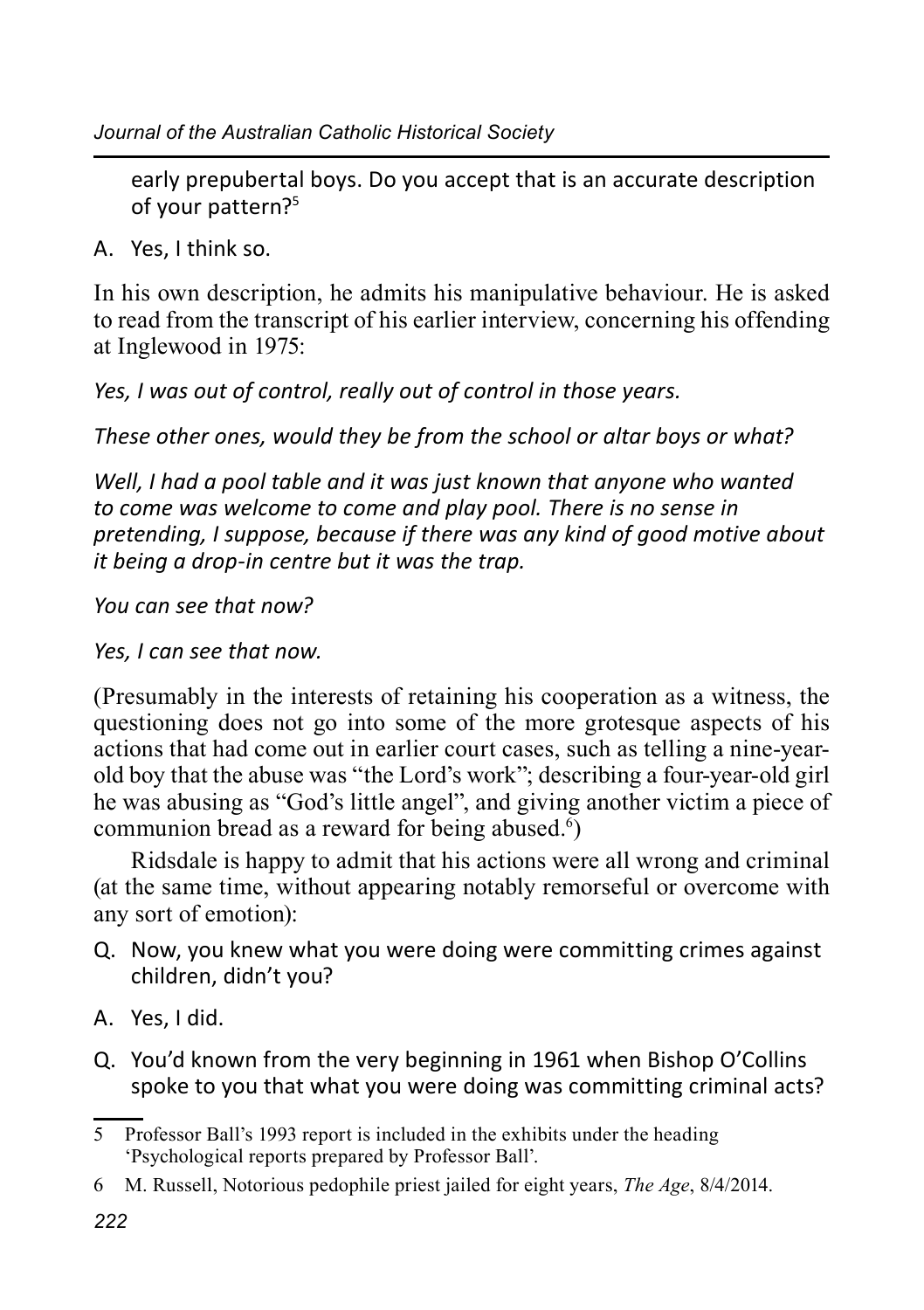early prepubertal boys. Do you accept that is an accurate description of your pattern?5

A. Yes, I think so.

In his own description, he admits his manipulative behaviour. He is asked to read from the transcript of his earlier interview, concerning his offending at Inglewood in 1975:

*Yes, I was out of control, really out of control in those years.*

*These other ones, would they be from the school or altar boys or what?*

*Well, I had a pool table and it was just known that anyone who wanted to come was welcome to come and play pool. There is no sense in pretending, I suppose, because if there was any kind of good motive about it being a drop-in centre but it was the trap.*

*You can see that now?*

*Yes, I can see that now.*

(Presumably in the interests of retaining his cooperation as a witness, the questioning does not go into some of the more grotesque aspects of his actions that had come out in earlier court cases, such as telling a nine-yearold boy that the abuse was "the Lord's work"; describing a four-year-old girl he was abusing as "God's little angel", and giving another victim a piece of communion bread as a reward for being abused. $\mathfrak{h}$ )

Ridsdale is happy to admit that his actions were all wrong and criminal (at the same time, without appearing notably remorseful or overcome with any sort of emotion):

- Q. Now, you knew what you were doing were committing crimes against children, didn't you?
- A. Yes, I did.
- Q. You'd known from the very beginning in 1961 when Bishop O'Collins spoke to you that what you were doing was committing criminal acts?

<sup>5</sup> Professor Ball's 1993 report is included in the exhibits under the heading 'Psychological reports prepared by Professor Ball'.

<sup>6</sup> M. Russell, Notorious pedophile priest jailed for eight years, *The Age*, 8/4/2014.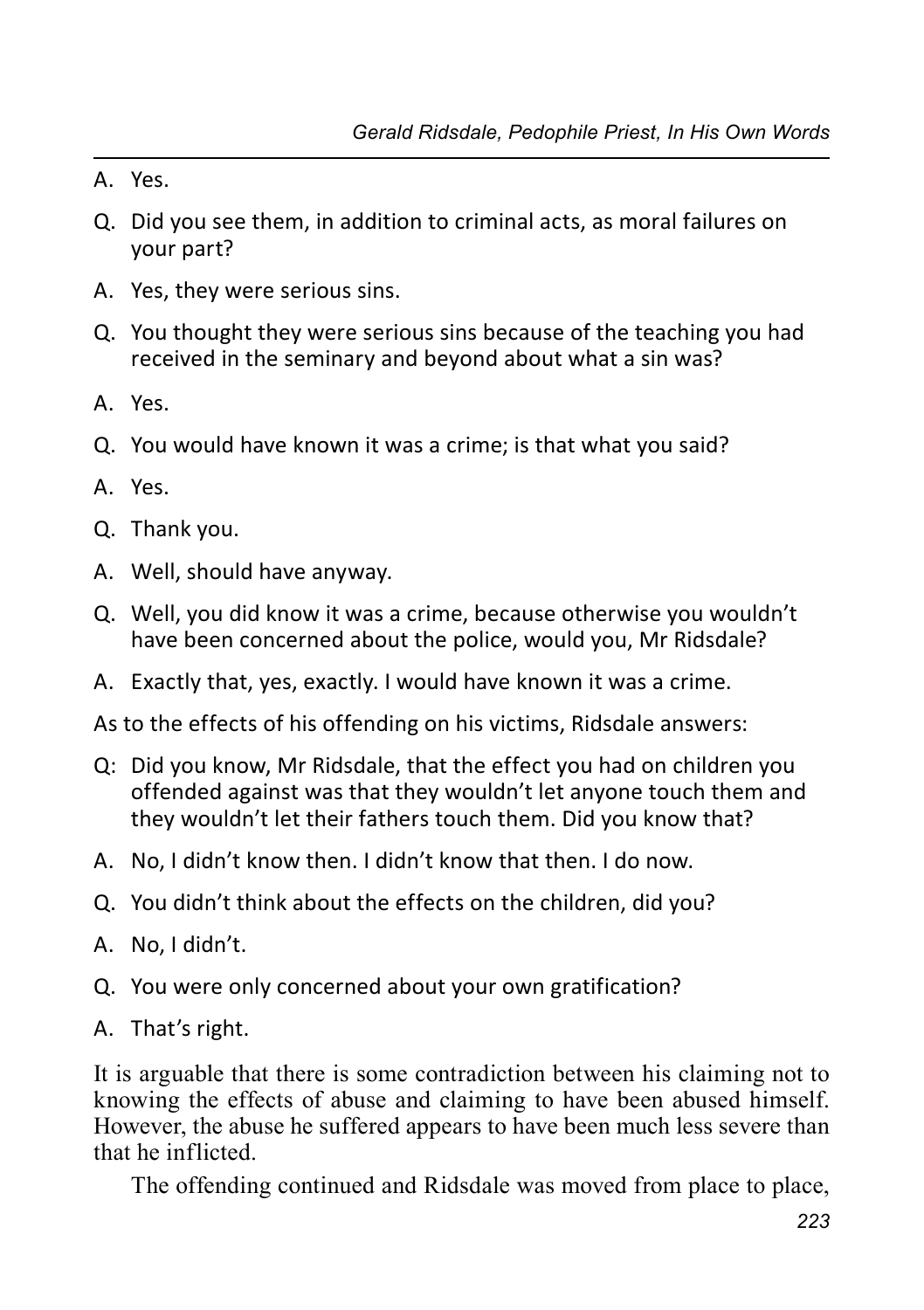- A. Yes.
- Q. Did you see them, in addition to criminal acts, as moral failures on your part?
- A. Yes, they were serious sins.
- Q. You thought they were serious sins because of the teaching you had received in the seminary and beyond about what a sin was?
- A. Yes.
- Q. You would have known it was a crime; is that what you said?
- A. Yes.
- Q. Thank you.
- A. Well, should have anyway.
- Q. Well, you did know it was a crime, because otherwise you wouldn't have been concerned about the police, would you, Mr Ridsdale?
- A. Exactly that, yes, exactly. I would have known it was a crime.
- As to the effects of his offending on his victims, Ridsdale answers:
- Q: Did you know, Mr Ridsdale, that the effect you had on children you offended against was that they wouldn't let anyone touch them and they wouldn't let their fathers touch them. Did you know that?
- A. No, I didn't know then. I didn't know that then. I do now.
- Q. You didn't think about the effects on the children, did you?
- A. No, I didn't.
- Q. You were only concerned about your own gratification?
- A. That's right.

It is arguable that there is some contradiction between his claiming not to knowing the effects of abuse and claiming to have been abused himself. However, the abuse he suffered appears to have been much less severe than that he inflicted.

The offending continued and Ridsdale was moved from place to place,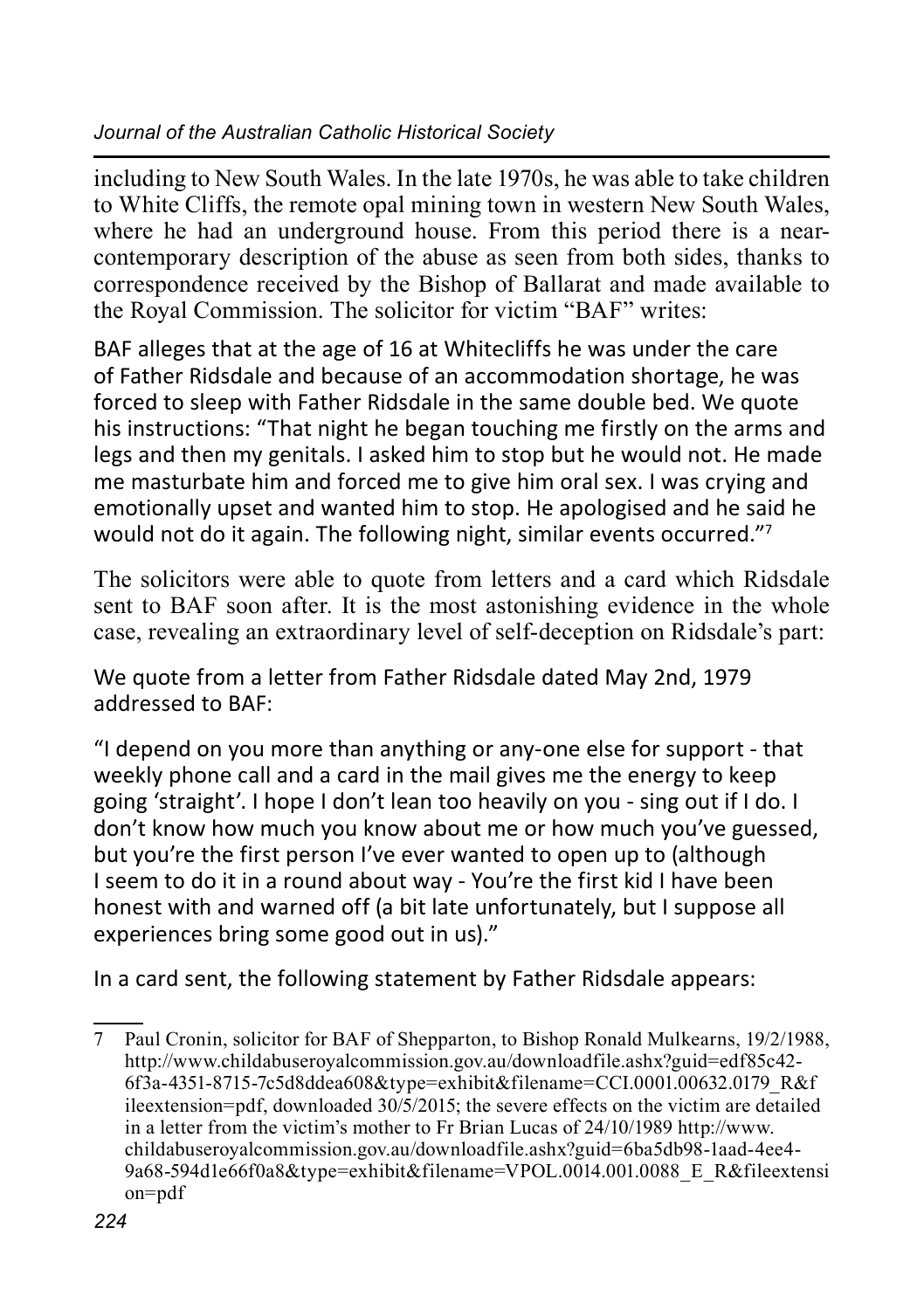including to New South Wales. In the late 1970s, he was able to take children to White Cliffs, the remote opal mining town in western New South Wales, where he had an underground house. From this period there is a nearcontemporary description of the abuse as seen from both sides, thanks to correspondence received by the Bishop of Ballarat and made available to the Royal Commission. The solicitor for victim "BAF" writes:

BAF alleges that at the age of 16 at Whitecliffs he was under the care of Father Ridsdale and because of an accommodation shortage, he was forced to sleep with Father Ridsdale in the same double bed. We quote his instructions: "That night he began touching me firstly on the arms and legs and then my genitals. I asked him to stop but he would not. He made me masturbate him and forced me to give him oral sex. I was crying and emotionally upset and wanted him to stop. He apologised and he said he would not do it again. The following night, similar events occurred."<sup>7</sup>

The solicitors were able to quote from letters and a card which Ridsdale sent to BAF soon after. It is the most astonishing evidence in the whole case, revealing an extraordinary level of self-deception on Ridsdale's part:

We quote from a letter from Father Ridsdale dated May 2nd, 1979 addressed to BAF:

"I depend on you more than anything or any-one else for support - that weekly phone call and a card in the mail gives me the energy to keep going 'straight'. I hope I don't lean too heavily on you - sing out if I do. I don't know how much you know about me or how much you've guessed, but you're the first person I've ever wanted to open up to (although I seem to do it in a round about way - You're the first kid I have been honest with and warned off (a bit late unfortunately, but I suppose all experiences bring some good out in us)."

In a card sent, the following statement by Father Ridsdale appears:

<sup>7</sup> Paul Cronin, solicitor for BAF of Shepparton, to Bishop Ronald Mulkearns, 19/2/1988, http://www.childabuseroyalcommission.gov.au/downloadfile.ashx?guid=edf85c42- 6f3a-4351-8715-7c5d8ddea608&type=exhibit&filename=CCI.0001.00632.0179\_R&f ileextension=pdf, downloaded 30/5/2015; the severe effects on the victim are detailed in a letter from the victim's mother to Fr Brian Lucas of 24/10/1989 http://www. childabuseroyalcommission.gov.au/downloadfile.ashx?guid=6ba5db98-1aad-4ee4- 9a68-594d1e66f0a8&type=exhibit&filename=VPOL.0014.001.0088\_E\_R&fileextensi on=pdf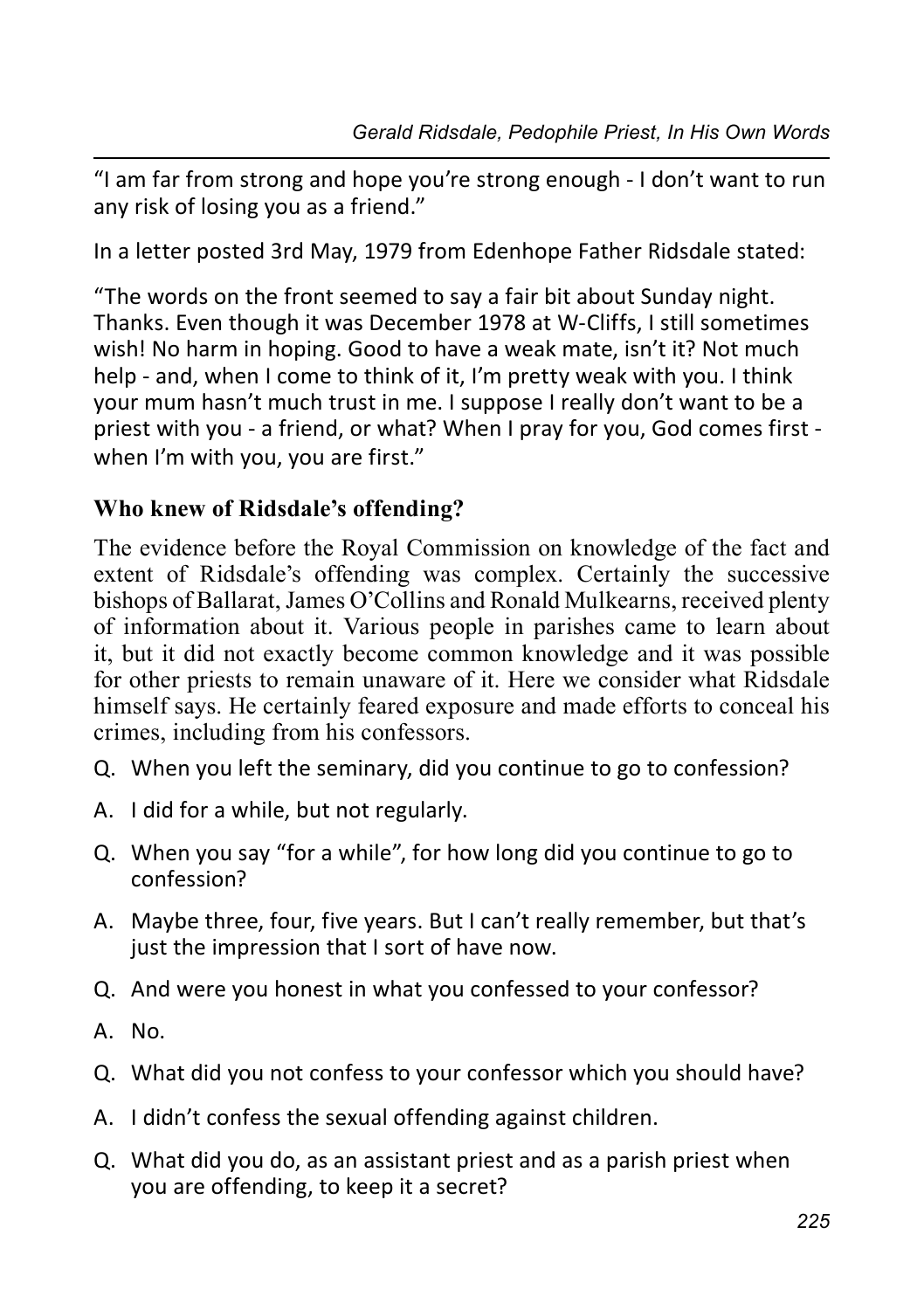"I am far from strong and hope you're strong enough - I don't want to run any risk of losing you as a friend."

In a letter posted 3rd May, 1979 from Edenhope Father Ridsdale stated:

"The words on the front seemed to say a fair bit about Sunday night. Thanks. Even though it was December 1978 at W-Cliffs, I still sometimes wish! No harm in hoping. Good to have a weak mate, isn't it? Not much help - and, when I come to think of it, I'm pretty weak with you. I think your mum hasn't much trust in me. I suppose I really don't want to be a priest with you - a friend, or what? When I pray for you, God comes first when I'm with you, you are first."

### **Who knew of Ridsdale's offending?**

The evidence before the Royal Commission on knowledge of the fact and extent of Ridsdale's offending was complex. Certainly the successive bishops of Ballarat, James O'Collins and Ronald Mulkearns, received plenty of information about it. Various people in parishes came to learn about it, but it did not exactly become common knowledge and it was possible for other priests to remain unaware of it. Here we consider what Ridsdale himself says. He certainly feared exposure and made efforts to conceal his crimes, including from his confessors.

- Q. When you left the seminary, did you continue to go to confession?
- A. I did for a while, but not regularly.
- Q. When you say "for a while", for how long did you continue to go to confession?
- A. Maybe three, four, five years. But I can't really remember, but that's just the impression that I sort of have now.
- Q. And were you honest in what you confessed to your confessor?
- A. No.
- Q. What did you not confess to your confessor which you should have?
- A. I didn't confess the sexual offending against children.
- Q. What did you do, as an assistant priest and as a parish priest when you are offending, to keep it a secret?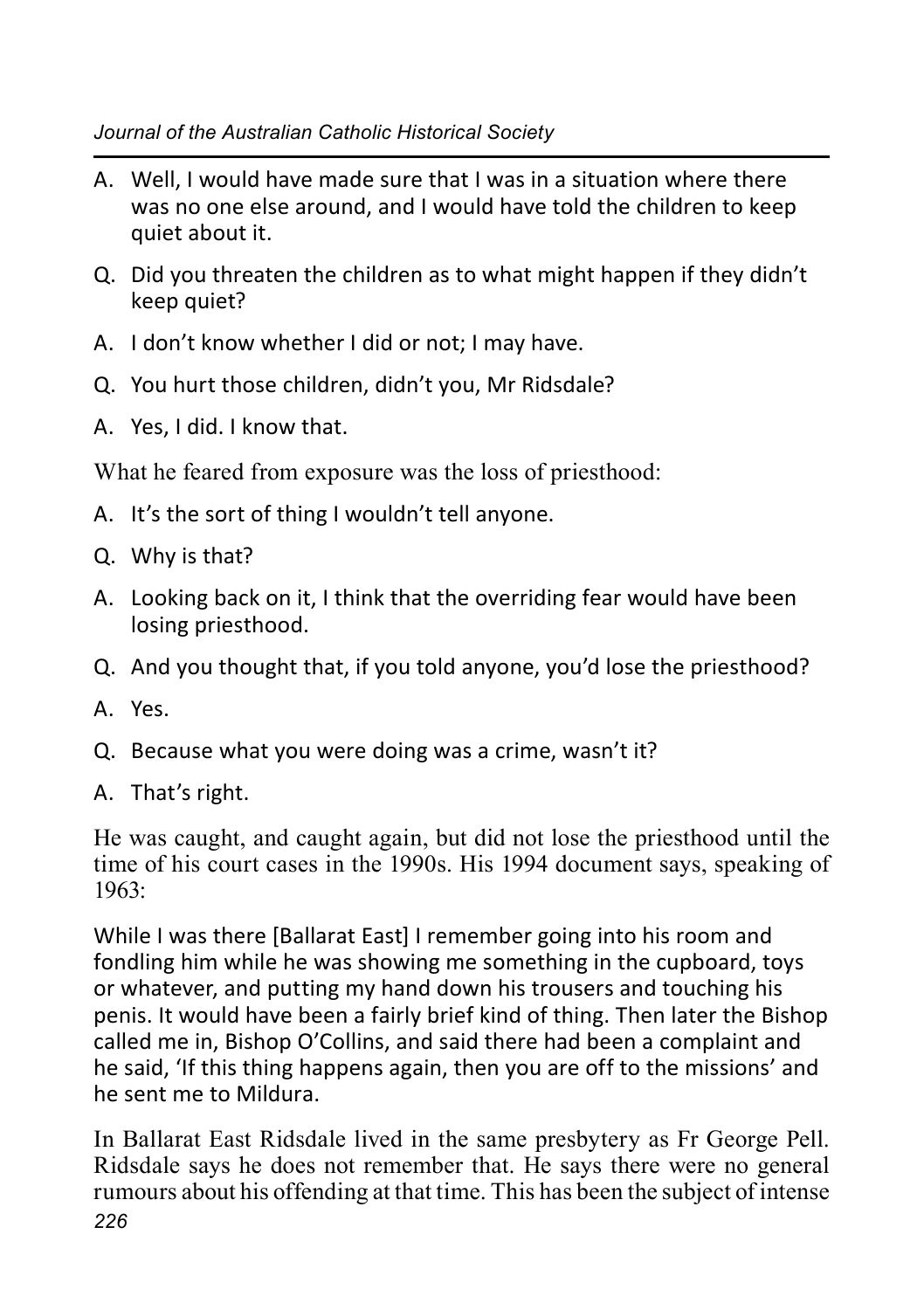- A. Well, I would have made sure that I was in a situation where there was no one else around, and I would have told the children to keep quiet about it.
- Q. Did you threaten the children as to what might happen if they didn't keep quiet?
- A. I don't know whether I did or not; I may have.
- Q. You hurt those children, didn't you, Mr Ridsdale?
- A. Yes, I did. I know that.

What he feared from exposure was the loss of priesthood:

- A. It's the sort of thing I wouldn't tell anyone.
- Q. Why is that?
- A. Looking back on it, I think that the overriding fear would have been losing priesthood.
- Q. And you thought that, if you told anyone, you'd lose the priesthood?
- A. Yes.
- Q. Because what you were doing was a crime, wasn't it?
- A. That's right.

He was caught, and caught again, but did not lose the priesthood until the time of his court cases in the 1990s. His 1994 document says, speaking of 1963:

While I was there [Ballarat East] I remember going into his room and fondling him while he was showing me something in the cupboard, toys or whatever, and putting my hand down his trousers and touching his penis. It would have been a fairly brief kind of thing. Then later the Bishop called me in, Bishop O'Collins, and said there had been a complaint and he said, 'If this thing happens again, then you are off to the missions' and he sent me to Mildura.

*226* In Ballarat East Ridsdale lived in the same presbytery as Fr George Pell. Ridsdale says he does not remember that. He says there were no general rumours about his offending at that time. This has been the subject of intense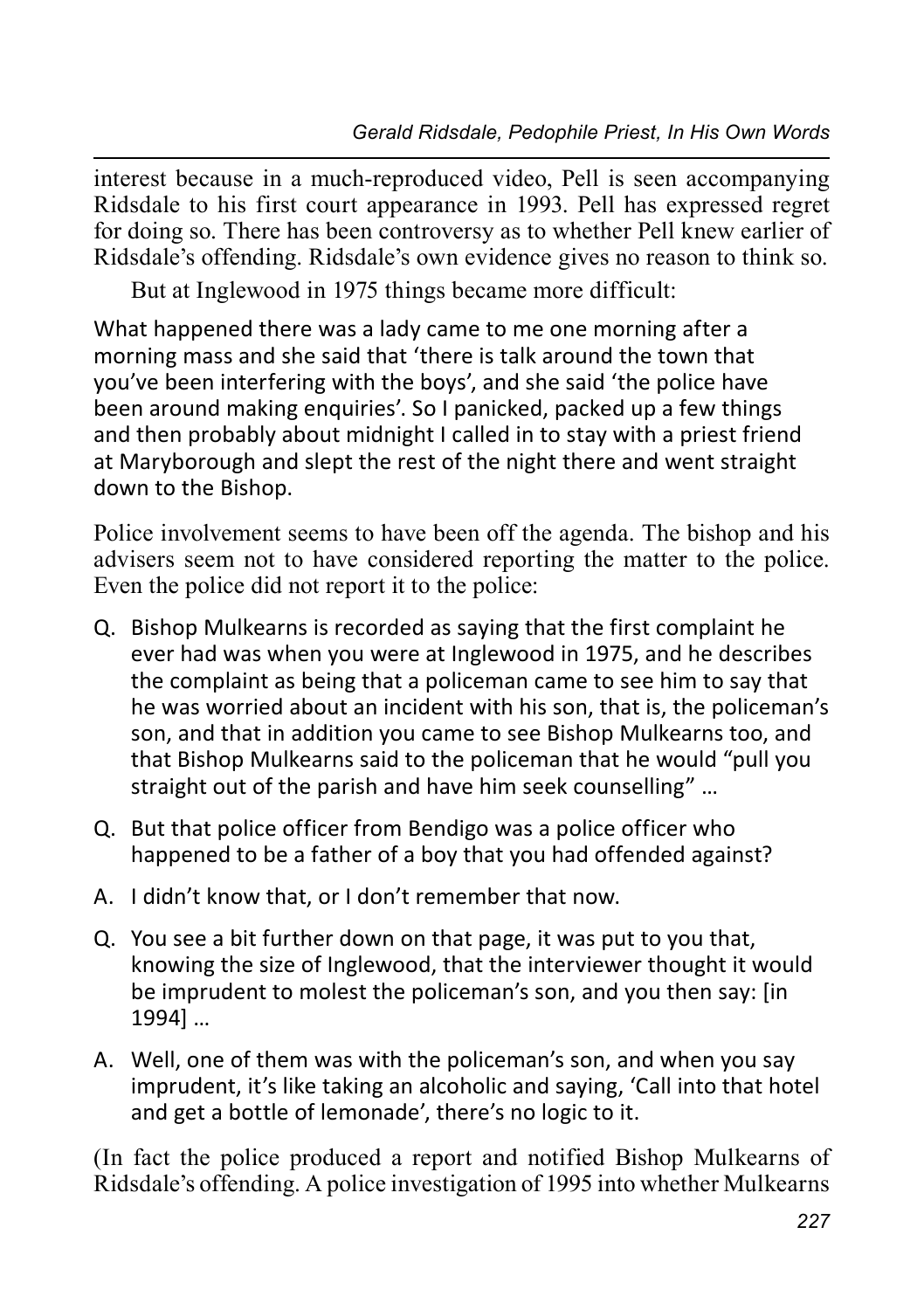interest because in a much-reproduced video, Pell is seen accompanying Ridsdale to his first court appearance in 1993. Pell has expressed regret for doing so. There has been controversy as to whether Pell knew earlier of Ridsdale's offending. Ridsdale's own evidence gives no reason to think so.

But at Inglewood in 1975 things became more difficult:

What happened there was a lady came to me one morning after a morning mass and she said that 'there is talk around the town that you've been interfering with the boys', and she said 'the police have been around making enquiries'. So I panicked, packed up a few things and then probably about midnight I called in to stay with a priest friend at Maryborough and slept the rest of the night there and went straight down to the Bishop.

Police involvement seems to have been off the agenda. The bishop and his advisers seem not to have considered reporting the matter to the police. Even the police did not report it to the police:

- Q. Bishop Mulkearns is recorded as saying that the first complaint he ever had was when you were at Inglewood in 1975, and he describes the complaint as being that a policeman came to see him to say that he was worried about an incident with his son, that is, the policeman's son, and that in addition you came to see Bishop Mulkearns too, and that Bishop Mulkearns said to the policeman that he would "pull you straight out of the parish and have him seek counselling" …
- Q. But that police officer from Bendigo was a police officer who happened to be a father of a boy that you had offended against?
- A. I didn't know that, or I don't remember that now.
- Q. You see a bit further down on that page, it was put to you that, knowing the size of Inglewood, that the interviewer thought it would be imprudent to molest the policeman's son, and you then say: [in 1994] …
- A. Well, one of them was with the policeman's son, and when you say imprudent, it's like taking an alcoholic and saying, 'Call into that hotel and get a bottle of lemonade', there's no logic to it.

(In fact the police produced a report and notified Bishop Mulkearns of Ridsdale's offending. A police investigation of 1995 into whether Mulkearns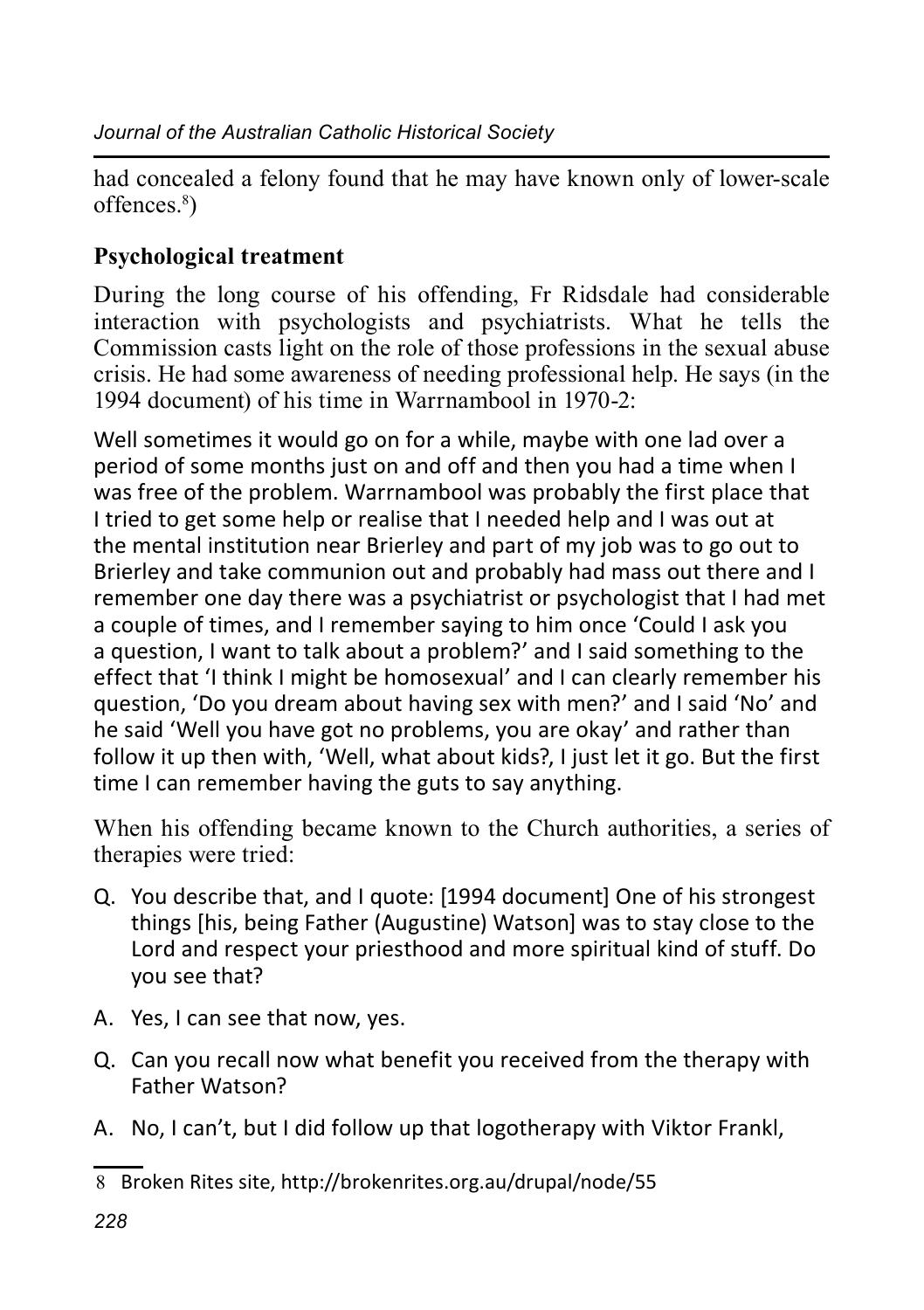had concealed a felony found that he may have known only of lower-scale offences.8 )

## **Psychological treatment**

During the long course of his offending, Fr Ridsdale had considerable interaction with psychologists and psychiatrists. What he tells the Commission casts light on the role of those professions in the sexual abuse crisis. He had some awareness of needing professional help. He says (in the 1994 document) of his time in Warrnambool in 1970-2:

Well sometimes it would go on for a while, maybe with one lad over a period of some months just on and off and then you had a time when I was free of the problem. Warrnambool was probably the first place that I tried to get some help or realise that I needed help and I was out at the mental institution near Brierley and part of my job was to go out to Brierley and take communion out and probably had mass out there and I remember one day there was a psychiatrist or psychologist that I had met a couple of times, and I remember saying to him once 'Could I ask you a question, I want to talk about a problem?' and I said something to the effect that 'I think I might be homosexual' and I can clearly remember his question, 'Do you dream about having sex with men?' and I said 'No' and he said 'Well you have got no problems, you are okay' and rather than follow it up then with, 'Well, what about kids?, I just let it go. But the first time I can remember having the guts to say anything.

When his offending became known to the Church authorities, a series of therapies were tried:

- Q. You describe that, and I quote: [1994 document] One of his strongest things [his, being Father (Augustine) Watson] was to stay close to the Lord and respect your priesthood and more spiritual kind of stuff. Do you see that?
- A. Yes, I can see that now, yes.
- Q. Can you recall now what benefit you received from the therapy with Father Watson?
- A. No, I can't, but I did follow up that logotherapy with Viktor Frankl,

<sup>8</sup> Broken Rites site, http://brokenrites.org.au/drupal/node/55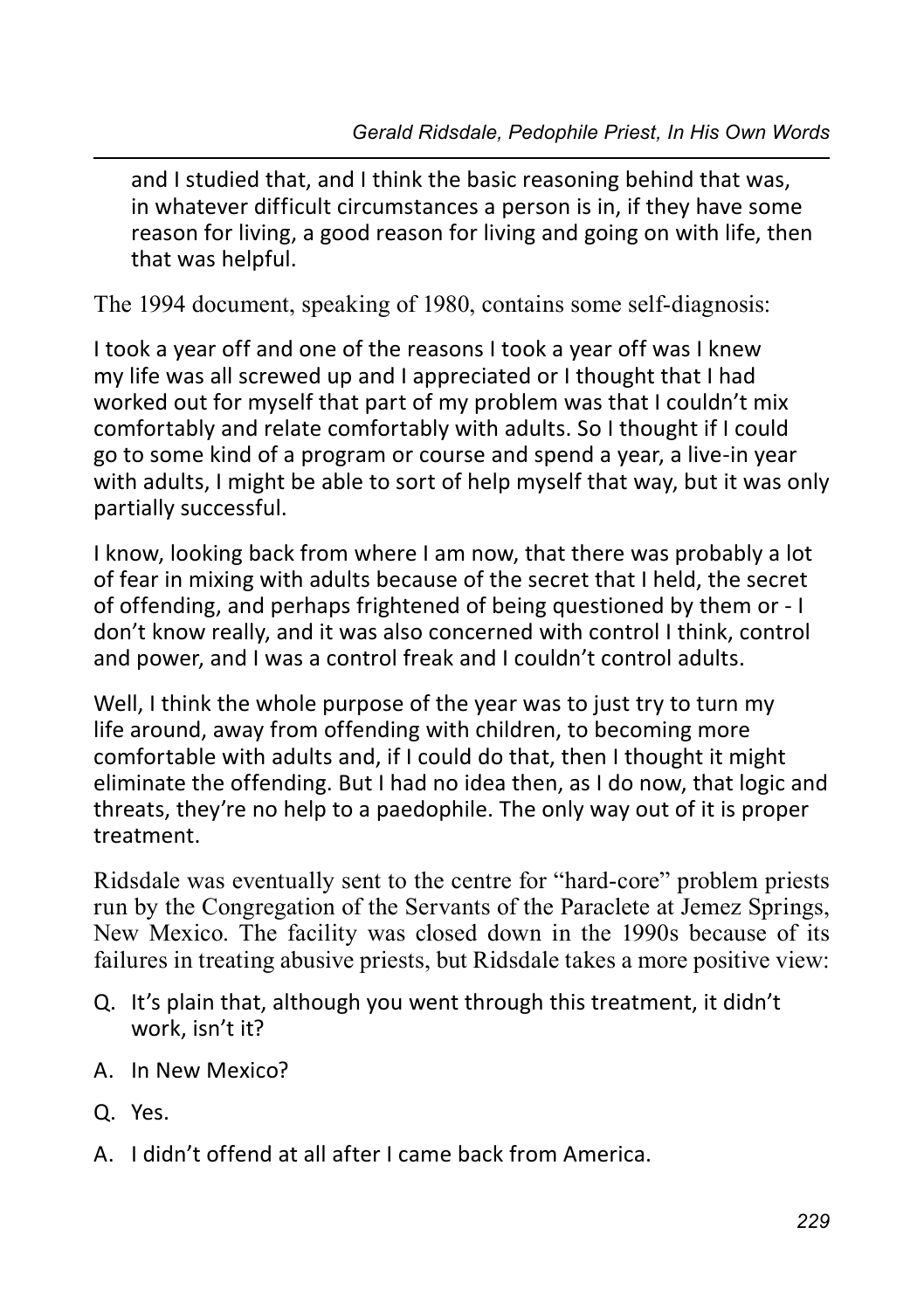and I studied that, and I think the basic reasoning behind that was, in whatever difficult circumstances a person is in, if they have some reason for living, a good reason for living and going on with life, then that was helpful.

The 1994 document, speaking of 1980, contains some self-diagnosis:

I took a year off and one of the reasons I took a year off was I knew my life was all screwed up and I appreciated or I thought that I had worked out for myself that part of my problem was that I couldn't mix comfortably and relate comfortably with adults. So I thought if I could go to some kind of a program or course and spend a year, a live-in year with adults, I might be able to sort of help myself that way, but it was only partially successful.

I know, looking back from where I am now, that there was probably a lot of fear in mixing with adults because of the secret that I held, the secret of offending, and perhaps frightened of being questioned by them or - I don't know really, and it was also concerned with control I think, control and power, and I was a control freak and I couldn't control adults.

Well, I think the whole purpose of the year was to just try to turn my life around, away from offending with children, to becoming more comfortable with adults and, if I could do that, then I thought it might eliminate the offending. But I had no idea then, as I do now, that logic and threats, they're no help to a paedophile. The only way out of it is proper treatment.

Ridsdale was eventually sent to the centre for "hard-core" problem priests run by the Congregation of the Servants of the Paraclete at Jemez Springs, New Mexico. The facility was closed down in the 1990s because of its failures in treating abusive priests, but Ridsdale takes a more positive view:

- Q. It's plain that, although you went through this treatment, it didn't work, isn't it?
- A. In New Mexico?
- Q. Yes.
- A. I didn't offend at all after I came back from America.